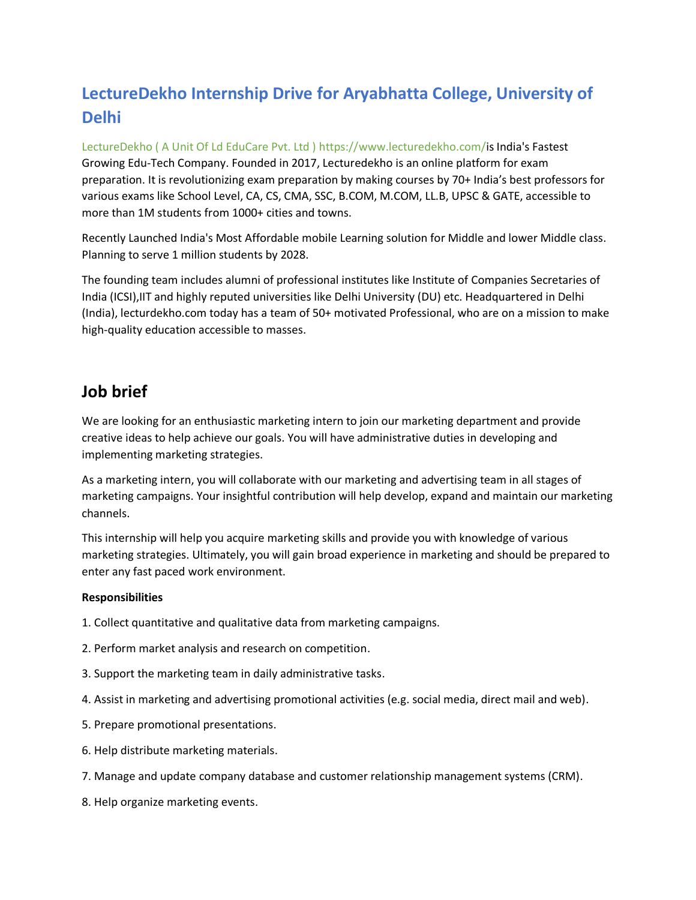# **LectureDekho Internship Drive for Aryabhatta College, University of Delhi**

LectureDekho ( A Unit Of Ld EduCare Pvt. Ltd ) https://www.lecturedekho.com/is India's Fastest Growing Edu-Tech Company. Founded in 2017, Lecturedekho is an online platform for exam preparation. It is revolutionizing exam preparation by making courses by 70+ India's best professors for various exams like School Level, CA, CS, CMA, SSC, B.COM, M.COM, LL.B, UPSC & GATE, accessible to more than 1M students from 1000+ cities and towns.

Recently Launched India's Most Affordable mobile Learning solution for Middle and lower Middle class. Planning to serve 1 million students by 2028.

The founding team includes alumni of professional institutes like Institute of Companies Secretaries of India (ICSI),IIT and highly reputed universities like Delhi University (DU) etc. Headquartered in Delhi (India), lecturdekho.com today has a team of 50+ motivated Professional, who are on a mission to make high-quality education accessible to masses.

## **Job brief**

We are looking for an enthusiastic marketing intern to join our marketing department and provide creative ideas to help achieve our goals. You will have administrative duties in developing and implementing marketing strategies.

As a marketing intern, you will collaborate with our marketing and advertising team in all stages of marketing campaigns. Your insightful contribution will help develop, expand and maintain our marketing channels.

This internship will help you acquire marketing skills and provide you with knowledge of various marketing strategies. Ultimately, you will gain broad experience in marketing and should be prepared to enter any fast paced work environment.

### **Responsibilities**

- 1. Collect quantitative and qualitative data from marketing campaigns.
- 2. Perform market analysis and research on competition.
- 3. Support the marketing team in daily administrative tasks.
- 4. Assist in marketing and advertising promotional activities (e.g. social media, direct mail and web).
- 5. Prepare promotional presentations.
- 6. Help distribute marketing materials.
- 7. Manage and update company database and customer relationship management systems (CRM).
- 8. Help organize marketing events.